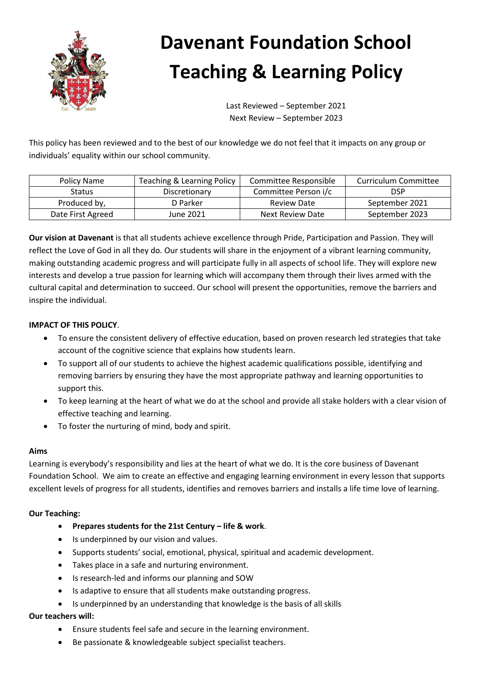

# **Davenant Foundation School Teaching & Learning Policy**

Last Reviewed – September 2021 Next Review – September 2023

This policy has been reviewed and to the best of our knowledge we do not feel that it impacts on any group or individuals' equality within our school community.

| Policy Name       | Teaching & Learning Policy | Committee Responsible | Curriculum Committee |
|-------------------|----------------------------|-----------------------|----------------------|
| <b>Status</b>     | Discretionary              | Committee Person i/c  | DSP                  |
| Produced by,      | D Parker                   | <b>Review Date</b>    | September 2021       |
| Date First Agreed | June 2021                  | Next Review Date      | September 2023       |

**Our vision at Davenant** is that all students achieve excellence through Pride, Participation and Passion. They will reflect the Love of God in all they do. Our students will share in the enjoyment of a vibrant learning community, making outstanding academic progress and will participate fully in all aspects of school life. They will explore new interests and develop a true passion for learning which will accompany them through their lives armed with the cultural capital and determination to succeed. Our school will present the opportunities, remove the barriers and inspire the individual.

# **IMPACT OF THIS POLICY**.

- To ensure the consistent delivery of effective education, based on proven research led strategies that take account of the cognitive science that explains how students learn.
- To support all of our students to achieve the highest academic qualifications possible, identifying and removing barriers by ensuring they have the most appropriate pathway and learning opportunities to support this.
- To keep learning at the heart of what we do at the school and provide all stake holders with a clear vision of effective teaching and learning.
- To foster the nurturing of mind, body and spirit.

## **Aims**

Learning is everybody's responsibility and lies at the heart of what we do. It is the core business of Davenant Foundation School. We aim to create an effective and engaging learning environment in every lesson that supports excellent levels of progress for all students, identifies and removes barriers and installs a life time love of learning.

## **Our Teaching:**

- **Prepares students for the 21st Century – life & work**.
- Is underpinned by our vision and values.
- Supports students' social, emotional, physical, spiritual and academic development.
- Takes place in a safe and nurturing environment.
- Is research-led and informs our planning and SOW
- Is adaptive to ensure that all students make outstanding progress.
- Is underpinned by an understanding that knowledge is the basis of all skills

#### **Our teachers will:**

- Ensure students feel safe and secure in the learning environment.
- Be passionate & knowledgeable subject specialist teachers.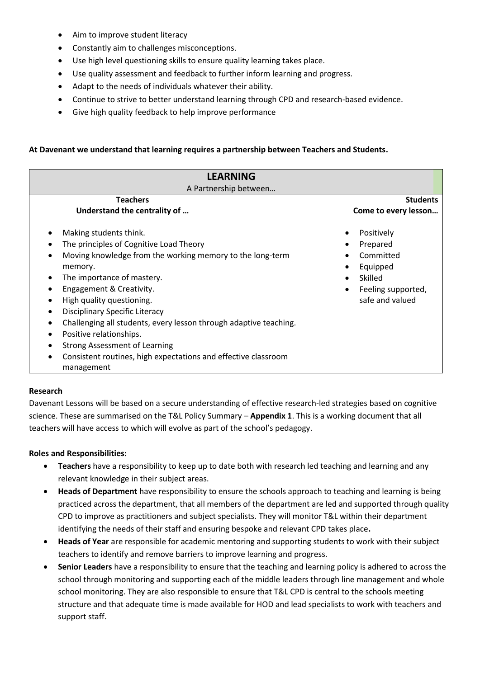- Aim to improve student literacy
- Constantly aim to challenges misconceptions.
- Use high level questioning skills to ensure quality learning takes place.
- Use quality assessment and feedback to further inform learning and progress.
- Adapt to the needs of individuals whatever their ability.
- Continue to strive to better understand learning through CPD and research-based evidence.
- Give high quality feedback to help improve performance

### **At Davenant we understand that learning requires a partnership between Teachers and Students.**

| <b>LEARNING</b>                                                   |                                 |  |  |
|-------------------------------------------------------------------|---------------------------------|--|--|
| A Partnership between                                             |                                 |  |  |
| <b>Teachers</b>                                                   | <b>Students</b>                 |  |  |
| Understand the centrality of                                      | Come to every lesson            |  |  |
| Making students think.                                            | Positively                      |  |  |
| The principles of Cognitive Load Theory                           | Prepared                        |  |  |
| Moving knowledge from the working memory to the long-term         | Committed                       |  |  |
| memory.                                                           | Equipped                        |  |  |
| The importance of mastery.                                        | Skilled                         |  |  |
| Engagement & Creativity.                                          | Feeling supported,<br>$\bullet$ |  |  |
| High quality questioning.                                         | safe and valued                 |  |  |
| Disciplinary Specific Literacy                                    |                                 |  |  |
| Challenging all students, every lesson through adaptive teaching. |                                 |  |  |
| Positive relationships.                                           |                                 |  |  |
| <b>Strong Assessment of Learning</b>                              |                                 |  |  |
| Consistent routines, high expectations and effective classroom    |                                 |  |  |
| management                                                        |                                 |  |  |

#### **Research**

Davenant Lessons will be based on a secure understanding of effective research-led strategies based on cognitive science. These are summarised on the T&L Policy Summary – **Appendix 1**. This is a working document that all teachers will have access to which will evolve as part of the school's pedagogy.

#### **Roles and Responsibilities:**

- **Teachers** have a responsibility to keep up to date both with research led teaching and learning and any relevant knowledge in their subject areas.
- **Heads of Department** have responsibility to ensure the schools approach to teaching and learning is being practiced across the department, that all members of the department are led and supported through quality CPD to improve as practitioners and subject specialists. They will monitor T&L within their department identifying the needs of their staff and ensuring bespoke and relevant CPD takes place**.**
- **Heads of Year** are responsible for academic mentoring and supporting students to work with their subject teachers to identify and remove barriers to improve learning and progress.
- **Senior Leaders** have a responsibility to ensure that the teaching and learning policy is adhered to across the school through monitoring and supporting each of the middle leaders through line management and whole school monitoring. They are also responsible to ensure that T&L CPD is central to the schools meeting structure and that adequate time is made available for HOD and lead specialists to work with teachers and support staff.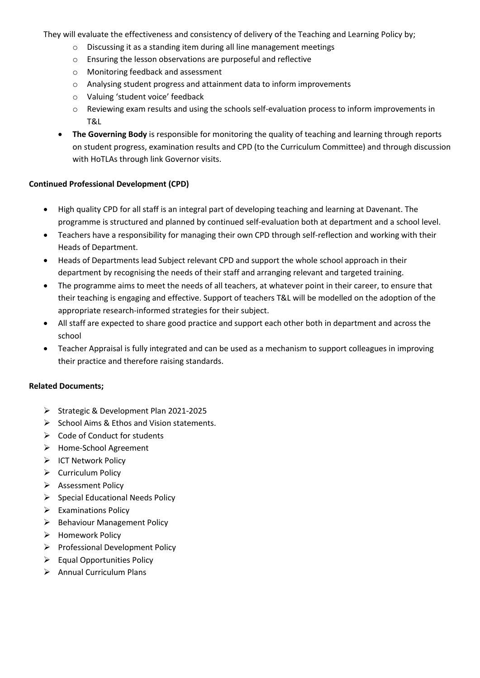They will evaluate the effectiveness and consistency of delivery of the Teaching and Learning Policy by;

- o Discussing it as a standing item during all line management meetings
- o Ensuring the lesson observations are purposeful and reflective
- o Monitoring feedback and assessment
- o Analysing student progress and attainment data to inform improvements
- o Valuing 'student voice' feedback
- o Reviewing exam results and using the schools self-evaluation process to inform improvements in T&L
- **The Governing Body** is responsible for monitoring the quality of teaching and learning through reports on student progress, examination results and CPD (to the Curriculum Committee) and through discussion with HoTLAs through link Governor visits.

## **Continued Professional Development (CPD)**

- High quality CPD for all staff is an integral part of developing teaching and learning at Davenant. The programme is structured and planned by continued self-evaluation both at department and a school level.
- Teachers have a responsibility for managing their own CPD through self-reflection and working with their Heads of Department.
- Heads of Departments lead Subject relevant CPD and support the whole school approach in their department by recognising the needs of their staff and arranging relevant and targeted training.
- The programme aims to meet the needs of all teachers, at whatever point in their career, to ensure that their teaching is engaging and effective. Support of teachers T&L will be modelled on the adoption of the appropriate research-informed strategies for their subject.
- All staff are expected to share good practice and support each other both in department and across the school
- Teacher Appraisal is fully integrated and can be used as a mechanism to support colleagues in improving their practice and therefore raising standards.

## **Related Documents;**

- Strategic & Development Plan 2021-2025
- $\triangleright$  School Aims & Ethos and Vision statements.
- $\triangleright$  Code of Conduct for students
- > Home-School Agreement
- $\triangleright$  ICT Network Policy
- $\triangleright$  Curriculum Policy
- $\triangleright$  Assessment Policy
- $\triangleright$  Special Educational Needs Policy
- $\triangleright$  Examinations Policy
- $\triangleright$  Behaviour Management Policy
- $\triangleright$  Homework Policy
- $\triangleright$  Professional Development Policy
- $\triangleright$  Equal Opportunities Policy
- $\triangleright$  Annual Curriculum Plans